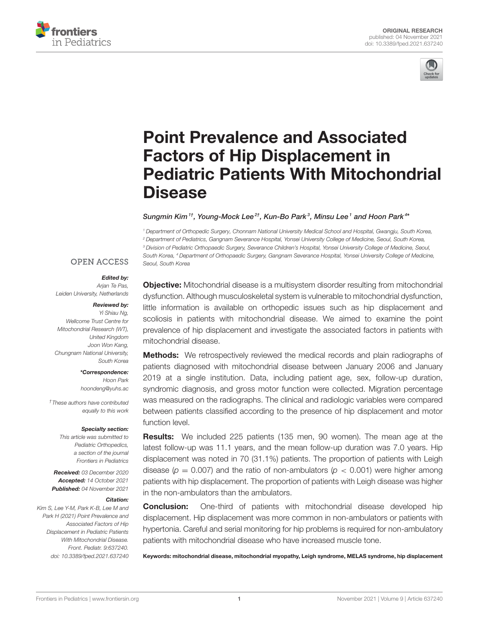



# Point Prevalence and Associated Factors of Hip Displacement in [Pediatric Patients With Mitochondrial](https://www.frontiersin.org/articles/10.3389/fped.2021.637240/full) Disease

### Sungmin Kim $^{1\dagger}$ , Young-Mock Lee $^{2\dagger}$ , Kun-Bo Park $^3$ , Minsu Lee $^1$  and Hoon Park $^{4*}$

<sup>1</sup> Department of Orthopedic Surgery, Chonnam National University Medical School and Hospital, Gwangju, South Korea, <sup>2</sup> Department of Pediatrics, Gangnam Severance Hospital, Yonsei University College of Medicine, Seoul, South Korea, <sup>3</sup> Division of Pediatric Orthopaedic Surgery, Severance Children's Hospital, Yonsei University College of Medicine, Seoul, South Korea, <sup>4</sup> Department of Orthopaedic Surgery, Gangnam Severance Hospital, Yonsei University College of Medicine, Seoul, South Korea

### **OPEN ACCESS**

#### Edited by:

Arjan Te Pas, Leiden University, Netherlands

### Reviewed by:

Yi Shiau Na. Wellcome Trust Centre for Mitochondrial Research (WT), United Kingdom Joon Won Kang, Chungnam National University, South Korea

> \*Correspondence: Hoon Park [hoondeng@yuhs.ac](mailto:hoondeng@yuhs.ac)

†These authors have contributed equally to this work

#### Specialty section:

This article was submitted to Pediatric Orthopedics, a section of the journal Frontiers in Pediatrics

Received: 03 December 2020 Accepted: 14 October 2021 Published: 04 November 2021

#### Citation:

Kim S, Lee Y-M, Park K-B, Lee M and Park H (2021) Point Prevalence and Associated Factors of Hip Displacement in Pediatric Patients With Mitochondrial Disease. Front. Pediatr. 9:637240. doi: [10.3389/fped.2021.637240](https://doi.org/10.3389/fped.2021.637240)

**Objective:** Mitochondrial disease is a multisystem disorder resulting from mitochondrial dysfunction. Although musculoskeletal system is vulnerable to mitochondrial dysfunction, little information is available on orthopedic issues such as hip displacement and scoliosis in patients with mitochondrial disease. We aimed to examine the point prevalence of hip displacement and investigate the associated factors in patients with mitochondrial disease.

**Methods:** We retrospectively reviewed the medical records and plain radiographs of patients diagnosed with mitochondrial disease between January 2006 and January 2019 at a single institution. Data, including patient age, sex, follow-up duration, syndromic diagnosis, and gross motor function were collected. Migration percentage was measured on the radiographs. The clinical and radiologic variables were compared between patients classified according to the presence of hip displacement and motor function level.

Results: We included 225 patients (135 men, 90 women). The mean age at the latest follow-up was 11.1 years, and the mean follow-up duration was 7.0 years. Hip displacement was noted in 70 (31.1%) patients. The proportion of patients with Leigh disease ( $p = 0.007$ ) and the ratio of non-ambulators ( $p < 0.001$ ) were higher among patients with hip displacement. The proportion of patients with Leigh disease was higher in the non-ambulators than the ambulators.

**Conclusion:** One-third of patients with mitochondrial disease developed hip displacement. Hip displacement was more common in non-ambulators or patients with hypertonia. Careful and serial monitoring for hip problems is required for non-ambulatory patients with mitochondrial disease who have increased muscle tone.

Keywords: mitochondrial disease, mitochondrial myopathy, Leigh syndrome, MELAS syndrome, hip displacement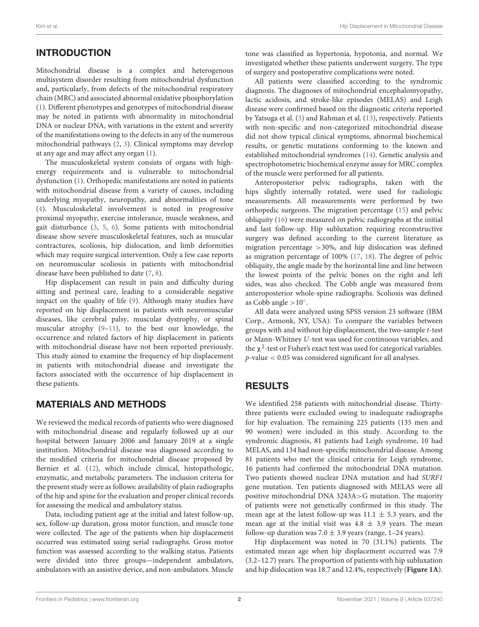# INTRODUCTION

Mitochondrial disease is a complex and heterogenous multisystem disorder resulting from mitochondrial dysfunction and, particularly, from defects of the mitochondrial respiratory chain (MRC) and associated abnormal oxidative phosphorylation [\(1\)](#page-5-0). Different phenotypes and genotypes of mitochondrial disease may be noted in patients with abnormality in mitochondrial DNA or nuclear DNA, with variations in the extent and severity of the manifestations owing to the defects in any of the numerous mitochondrial pathways [\(2,](#page-5-1) [3\)](#page-5-2). Clinical symptoms may develop at any age and may affect any organ [\(1\)](#page-5-0).

The musculoskeletal system consists of organs with highenergy requirements and is vulnerable to mitochondrial dysfunction [\(1\)](#page-5-0). Orthopedic manifestations are noted in patients with mitochondrial disease from a variety of causes, including underlying myopathy, neuropathy, and abnormalities of tone [\(4\)](#page-5-3). Musculoskeletal involvement is noted in progressive proximal myopathy, exercise intolerance, muscle weakness, and gait disturbance [\(3,](#page-5-2) [5,](#page-5-4) [6\)](#page-5-5). Some patients with mitochondrial disease show severe musculoskeletal features, such as muscular contractures, scoliosis, hip dislocation, and limb deformities which may require surgical intervention. Only a few case reports on neuromuscular scoliosis in patients with mitochondrial disease have been published to date [\(7,](#page-5-6) [8\)](#page-5-7).

Hip displacement can result in pain and difficulty during sitting and perineal care, leading to a considerable negative impact on the quality of life [\(9\)](#page-5-8). Although many studies have reported on hip displacement in patients with neuromuscular diseases, like cerebral palsy, muscular dystrophy, or spinal muscular atrophy [\(9](#page-5-8)[–11\)](#page-5-9), to the best our knowledge, the occurrence and related factors of hip displacement in patients with mitochondrial disease have not been reported previously. This study aimed to examine the frequency of hip displacement in patients with mitochondrial disease and investigate the factors associated with the occurrence of hip displacement in these patients.

# MATERIALS AND METHODS

We reviewed the medical records of patients who were diagnosed with mitochondrial disease and regularly followed up at our hospital between January 2006 and January 2019 at a single institution. Mitochondrial disease was diagnosed according to the modified criteria for mitochondrial disease proposed by Bernier et al. [\(12\)](#page-5-10), which include clinical, histopathologic, enzymatic, and metabolic parameters. The inclusion criteria for the present study were as follows: availability of plain radiographs of the hip and spine for the evaluation and proper clinical records for assessing the medical and ambulatory status.

Data, including patient age at the initial and latest follow-up, sex, follow-up duration, gross motor function, and muscle tone were collected. The age of the patients when hip displacement occurred was estimated using serial radiographs. Gross motor function was assessed according to the walking status. Patients were divided into three groups—independent ambulators, ambulators with an assistive device, and non-ambulators. Muscle tone was classified as hypertonia, hypotonia, and normal. We investigated whether these patients underwent surgery. The type of surgery and postoperative complications were noted.

All patients were classified according to the syndromic diagnosis. The diagnoses of mitochondrial encephalomyopathy, lactic acidosis, and stroke-like episodes (MELAS) and Leigh disease were confirmed based on the diagnostic criteria reported by Yatsuga et al. [\(3\)](#page-5-2) and Rahman et al. [\(13\)](#page-5-11), respectively. Patients with non-specific and non-categorized mitochondrial disease did not show typical clinical symptoms, abnormal biochemical results, or genetic mutations conforming to the known and established mitochondrial syndromes [\(14\)](#page-5-12). Genetic analysis and spectrophotometric biochemical enzyme assay for MRC complex of the muscle were performed for all patients.

Anteroposterior pelvic radiographs, taken with the hips slightly internally rotated, were used for radiologic measurements. All measurements were performed by two orthopedic surgeons. The migration percentage [\(15\)](#page-5-13) and pelvic obliquity [\(16\)](#page-5-14) were measured on pelvic radiographs at the initial and last follow-up. Hip subluxation requiring reconstructive surgery was defined according to the current literature as migration percentage >30%, and hip dislocation was defined as migration percentage of 100% [\(17,](#page-5-15) [18\)](#page-5-16). The degree of pelvic obliquity, the angle made by the horizontal line and line between the lowest points of the pelvic bones on the right and left sides, was also checked. The Cobb angle was measured from anteroposterior whole-spine radiographs. Scoliosis was defined as Cobb angle  $>10^\circ$ .

All data were analyzed using SPSS version 23 software (IBM Corp., Armonk, NY, USA). To compare the variables between groups with and without hip displacement, the two-sample t-test or Mann-Whitney U-test was used for continuous variables, and the  $\chi^2$ -test or Fisher's exact test was used for categorical variables.  $p$ -value  $< 0.05$  was considered significant for all analyses.

# RESULTS

We identified 258 patients with mitochondrial disease. Thirtythree patients were excluded owing to inadequate radiographs for hip evaluation. The remaining 225 patients (135 men and 90 women) were included in this study. According to the syndromic diagnosis, 81 patients had Leigh syndrome, 10 had MELAS, and 134 had non-specific mitochondrial disease. Among 81 patients who met the clinical criteria for Leigh syndrome, 16 patients had confirmed the mitochondrial DNA mutation. Two patients showed nuclear DNA mutation and had SURF1 gene mutation. Ten patients diagnosed with MELAS were all positive mitochondrial DNA 3243A>G mutation. The majority of patients were not genetically confirmed in this study. The mean age at the latest follow-up was  $11.1 \pm 5.3$  years, and the mean age at the initial visit was  $4.8 \pm 3.9$  years. The mean follow-up duration was  $7.0 \pm 3.9$  years (range, 1–24 years).

Hip displacement was noted in 70 (31.1%) patients. The estimated mean age when hip displacement occurred was 7.9 (3.2–12.7) years. The proportion of patients with hip subluxation and hip dislocation was 18.7 and 12.4%, respectively (**[Figure 1A](#page-2-0)**).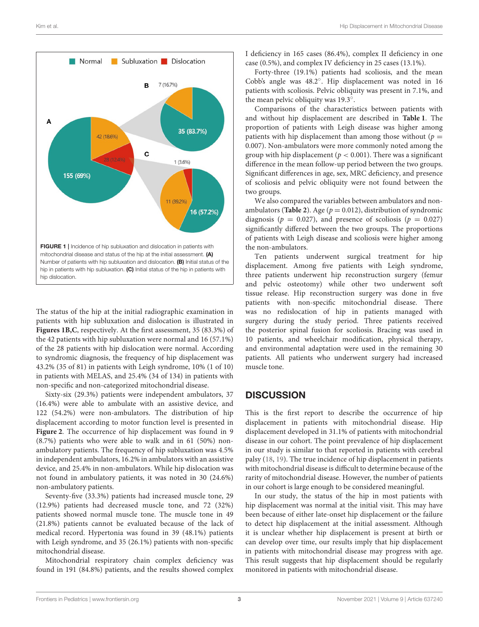

<span id="page-2-0"></span>The status of the hip at the initial radiographic examination in patients with hip subluxation and dislocation is illustrated in **[Figures 1B,C](#page-2-0)**, respectively. At the first assessment, 35 (83.3%) of the 42 patients with hip subluxation were normal and 16 (57.1%) of the 28 patients with hip dislocation were normal. According to syndromic diagnosis, the frequency of hip displacement was 43.2% (35 of 81) in patients with Leigh syndrome, 10% (1 of 10) in patients with MELAS, and 25.4% (34 of 134) in patients with non-specific and non-categorized mitochondrial disease.

Sixty-six (29.3%) patients were independent ambulators, 37 (16.4%) were able to ambulate with an assistive device, and 122 (54.2%) were non-ambulators. The distribution of hip displacement according to motor function level is presented in **[Figure 2](#page-3-0)**. The occurrence of hip displacement was found in 9 (8.7%) patients who were able to walk and in 61 (50%) nonambulatory patients. The frequency of hip subluxation was 4.5% in independent ambulators, 16.2% in ambulators with an assistive device, and 25.4% in non-ambulators. While hip dislocation was not found in ambulatory patients, it was noted in 30 (24.6%) non-ambulatory patients.

Seventy-five (33.3%) patients had increased muscle tone, 29 (12.9%) patients had decreased muscle tone, and 72 (32%) patients showed normal muscle tone. The muscle tone in 49 (21.8%) patients cannot be evaluated because of the lack of medical record. Hypertonia was found in 39 (48.1%) patients with Leigh syndrome, and 35 (26.1%) patients with non-specific mitochondrial disease.

Mitochondrial respiratory chain complex deficiency was found in 191 (84.8%) patients, and the results showed complex I deficiency in 165 cases (86.4%), complex II deficiency in one case (0.5%), and complex IV deficiency in 25 cases (13.1%).

Forty-three (19.1%) patients had scoliosis, and the mean Cobb's angle was 48.2◦ . Hip displacement was noted in 16 patients with scoliosis. Pelvic obliquity was present in 7.1%, and the mean pelvic obliquity was 19.3◦ .

Comparisons of the characteristics between patients with and without hip displacement are described in **[Table 1](#page-4-0)**. The proportion of patients with Leigh disease was higher among patients with hip displacement than among those without ( $p =$ 0.007). Non-ambulators were more commonly noted among the group with hip displacement ( $p < 0.001$ ). There was a significant difference in the mean follow-up period between the two groups. Significant differences in age, sex, MRC deficiency, and presence of scoliosis and pelvic obliquity were not found between the two groups.

We also compared the variables between ambulators and nonambulators (**[Table 2](#page-4-1)**). Age ( $p = 0.012$ ), distribution of syndromic diagnosis ( $p = 0.027$ ), and presence of scoliosis ( $p = 0.027$ ) significantly differed between the two groups. The proportions of patients with Leigh disease and scoliosis were higher among the non-ambulators.

Ten patients underwent surgical treatment for hip displacement. Among five patients with Leigh syndrome, three patients underwent hip reconstruction surgery (femur and pelvic osteotomy) while other two underwent soft tissue release. Hip reconstruction surgery was done in five patients with non-specific mitochondrial disease. There was no redislocation of hip in patients managed with surgery during the study period. Three patients received the posterior spinal fusion for scoliosis. Bracing was used in 10 patients, and wheelchair modification, physical therapy, and environmental adaptation were used in the remaining 30 patients. All patients who underwent surgery had increased muscle tone.

# **DISCUSSION**

This is the first report to describe the occurrence of hip displacement in patients with mitochondrial disease. Hip displacement developed in 31.1% of patients with mitochondrial disease in our cohort. The point prevalence of hip displacement in our study is similar to that reported in patients with cerebral palsy [\(18,](#page-5-16) [19\)](#page-5-17). The true incidence of hip displacement in patients with mitochondrial disease is difficult to determine because of the rarity of mitochondrial disease. However, the number of patients in our cohort is large enough to be considered meaningful.

In our study, the status of the hip in most patients with hip displacement was normal at the initial visit. This may have been because of either late-onset hip displacement or the failure to detect hip displacement at the initial assessment. Although it is unclear whether hip displacement is present at birth or can develop over time, our results imply that hip displacement in patients with mitochondrial disease may progress with age. This result suggests that hip displacement should be regularly monitored in patients with mitochondrial disease.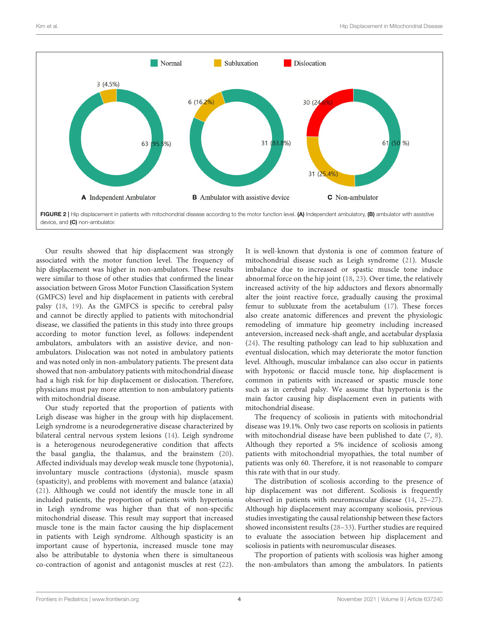

<span id="page-3-0"></span>Our results showed that hip displacement was strongly associated with the motor function level. The frequency of hip displacement was higher in non-ambulators. These results were similar to those of other studies that confirmed the linear association between Gross Motor Function Classification System (GMFCS) level and hip displacement in patients with cerebral palsy [\(18,](#page-5-16) [19\)](#page-5-17). As the GMFCS is specific to cerebral palsy and cannot be directly applied to patients with mitochondrial disease, we classified the patients in this study into three groups according to motor function level, as follows: independent ambulators, ambulators with an assistive device, and nonambulators. Dislocation was not noted in ambulatory patients and was noted only in non-ambulatory patients. The present data showed that non-ambulatory patients with mitochondrial disease had a high risk for hip displacement or dislocation. Therefore, physicians must pay more attention to non-ambulatory patients with mitochondrial disease.

Our study reported that the proportion of patients with Leigh disease was higher in the group with hip displacement. Leigh syndrome is a neurodegenerative disease characterized by bilateral central nervous system lesions [\(14\)](#page-5-12). Leigh syndrome is a heterogenous neurodegenerative condition that affects the basal ganglia, the thalamus, and the brainstem [\(20\)](#page-5-18). Affected individuals may develop weak muscle tone (hypotonia), involuntary muscle contractions (dystonia), muscle spasm (spasticity), and problems with movement and balance (ataxia) [\(21\)](#page-5-19). Although we could not identify the muscle tone in all included patients, the proportion of patients with hypertonia in Leigh syndrome was higher than that of non-specific mitochondrial disease. This result may support that increased muscle tone is the main factor causing the hip displacement in patients with Leigh syndrome. Although spasticity is an important cause of hypertonia, increased muscle tone may also be attributable to dystonia when there is simultaneous co-contraction of agonist and antagonist muscles at rest [\(22\)](#page-5-20). It is well-known that dystonia is one of common feature of mitochondrial disease such as Leigh syndrome [\(21\)](#page-5-19). Muscle imbalance due to increased or spastic muscle tone induce abnormal force on the hip joint [\(18,](#page-5-16) [23\)](#page-5-21). Over time, the relatively increased activity of the hip adductors and flexors abnormally alter the joint reactive force, gradually causing the proximal femur to subluxate from the acetabulum [\(17\)](#page-5-15). These forces also create anatomic differences and prevent the physiologic remodeling of immature hip geometry including increased anteversion, increased neck-shaft angle, and acetabular dysplasia [\(24\)](#page-5-22). The resulting pathology can lead to hip subluxation and eventual dislocation, which may deteriorate the motor function level. Although, muscular imbalance can also occur in patients with hypotonic or flaccid muscle tone, hip displacement is common in patients with increased or spastic muscle tone such as in cerebral palsy. We assume that hypertonia is the main factor causing hip displacement even in patients with mitochondrial disease.

The frequency of scoliosis in patients with mitochondrial disease was 19.1%. Only two case reports on scoliosis in patients with mitochondrial disease have been published to date [\(7,](#page-5-6) [8\)](#page-5-7). Although they reported a 5% incidence of scoliosis among patients with mitochondrial myopathies, the total number of patients was only 60. Therefore, it is not reasonable to compare this rate with that in our study.

The distribution of scoliosis according to the presence of hip displacement was not different. Scoliosis is frequently observed in patients with neuromuscular disease [\(14,](#page-5-12) [25–](#page-5-23)[27\)](#page-6-0). Although hip displacement may accompany scoliosis, previous studies investigating the causal relationship between these factors showed inconsistent results [\(28](#page-6-1)[–33\)](#page-6-2). Further studies are required to evaluate the association between hip displacement and scoliosis in patients with neuromuscular diseases.

The proportion of patients with scoliosis was higher among the non-ambulators than among the ambulators. In patients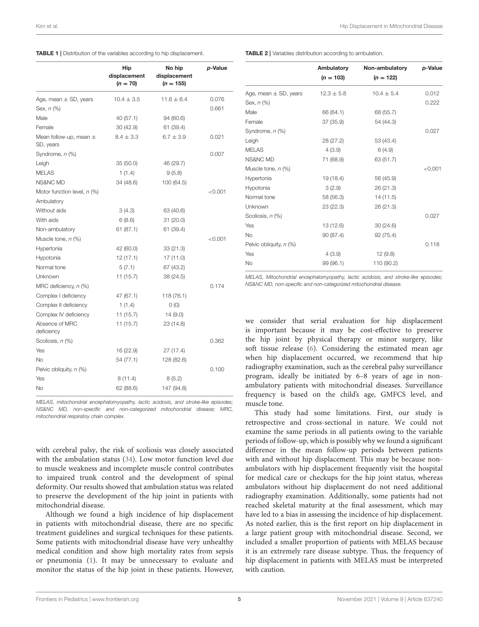<span id="page-4-0"></span>

<span id="page-4-1"></span>

| TABLE 2   Variables distribution according to ambulation. |
|-----------------------------------------------------------|
|-----------------------------------------------------------|

|                                         | Hip<br>displacement<br>$(n = 70)$ | No hip<br>displacement<br>$(n = 155)$ | p-Value |
|-----------------------------------------|-----------------------------------|---------------------------------------|---------|
| Age, mean $\pm$ SD, years               | $10.4 \pm 3.5$                    | $11.6 \pm 6.4$                        | 0.076   |
| Sex, n (%)                              |                                   |                                       | 0.661   |
| Male                                    | 40 (57.1)                         | 94 (60.6)                             |         |
| Female                                  | 30 (42.9)                         | 61 (39.4)                             |         |
| Mean follow-up, mean $\pm$<br>SD, years | $8.4 \pm 3.3$                     | $6.7 \pm 3.9$                         | 0.021   |
| Syndrome, n (%)                         |                                   |                                       | 0.007   |
| Leigh                                   | 35 (50.0)                         | 46 (29.7)                             |         |
| <b>MELAS</b>                            | 1(1.4)                            | 9(5.8)                                |         |
| NS&NC MD                                | 34 (48.6)                         | 100 (64.5)                            |         |
| Motor function level, n (%)             |                                   |                                       | < 0.001 |
| Ambulatory                              |                                   |                                       |         |
| Without aids                            | 3(4.3)                            | 63 (40.6)                             |         |
| With aids                               | 6 (8.6)                           | 31 (20.0)                             |         |
| Non-ambulatory                          | 61 (87.1)                         | 61 (39.4)                             |         |
| Muscle tone, n (%)                      |                                   |                                       | < 0.001 |
| Hypertonia                              | 42 (60.0)                         | 33(21.3)                              |         |
| Hypotonia                               | 12(17.1)                          | 17 (11.0)                             |         |
| Normal tone                             | 5(7.1)                            | 67 (43.2)                             |         |
| Unknown                                 | 11 (15.7)                         | 38 (24.5)                             |         |
| MRC deficiency, $n$ (%)                 |                                   |                                       | 0.174   |
| Complex I deficiency                    | 47 (67.1)                         | 118 (76.1)                            |         |
| Complex II deficiency                   | 1(1.4)                            | O(0)                                  |         |
| Complex IV deficiency                   | 11 (15.7)                         | 14 (9.0)                              |         |
| Absence of MRC<br>deficiency            | 11 (15.7)                         | 23 (14.8)                             |         |
| Scoliosis, n (%)                        |                                   |                                       | 0.362   |
| Yes                                     | 16 (22.9)                         | 27 (17.4)                             |         |
| No                                      | 54 (77.1)                         | 128 (82.6)                            |         |
| Pelvic obliquity, n (%)                 |                                   |                                       | 0.100   |
| Yes                                     | 8 (11.4)                          | 8(5.2)                                |         |
| No                                      | 62 (88.6)                         | 147 (94.8)                            |         |

MELAS, mitochondrial encephalomyopathy, lactic acidosis, and stroke-like episodes; NS&NC MD, non-specific and non-categorized mitochondrial disease; MRC, mitochondrial respiratoy chain complex.

with cerebral palsy, the risk of scoliosis was closely associated with the ambulation status [\(34\)](#page-6-3). Low motor function level due to muscle weakness and incomplete muscle control contributes to impaired trunk control and the development of spinal deformity. Our results showed that ambulation status was related to preserve the development of the hip joint in patients with mitochondrial disease.

Although we found a high incidence of hip displacement in patients with mitochondrial disease, there are no specific treatment guidelines and surgical techniques for these patients. Some patients with mitochondrial disease have very unhealthy medical condition and show high mortality rates from sepsis or pneumonia [\(1\)](#page-5-0). It may be unnecessary to evaluate and monitor the status of the hip joint in these patients. However,

|                           | Ambulatory<br>$(n = 103)$ | Non-ambulatory<br>$(n = 122)$ | p-Value |
|---------------------------|---------------------------|-------------------------------|---------|
| Age, mean $\pm$ SD, years | $12.3 \pm 5.8$            | $10.4 \pm 5.4$                | 0.012   |
| Sex, n (%)                |                           |                               | 0.222   |
| Male                      | 66 (64.1)                 | 68 (55.7)                     |         |
| Female                    | 37 (35.9)                 | 54 (44.3)                     |         |
| Syndrome, n (%)           |                           |                               | 0.027   |
| Leigh                     | 28(27.2)                  | 53 (43.4)                     |         |
| <b>MELAS</b>              | 4(3.9)                    | 6(4.9)                        |         |
| <b>NS&amp;NC MD</b>       | 71 (68.9)                 | 63 (51.7)                     |         |
| Muscle tone, n (%)        |                           |                               | < 0.001 |
| Hypertonia                | 19 (18.4)                 | 56 (45.9)                     |         |
| Hypotonia                 | 3(2.9)                    | 26 (21.3)                     |         |
| Normal tone               | 58 (56.3)                 | 14 (11.5)                     |         |
| Unknown                   | 23 (22.3)                 | 26 (21.3)                     |         |
| Scoliosis, n (%)          |                           |                               | 0.027   |
| Yes                       | 13 (12.6)                 | 30(24.6)                      |         |
| <b>No</b>                 | 90 (87.4)                 | 92 (75.4)                     |         |
| Pelvic obliquity, n (%)   |                           |                               | 0.118   |
| Yes                       | 4(3.9)                    | 12(9.8)                       |         |
| <b>No</b>                 | 99 (96.1)                 | 110 (90.2)                    |         |

MELAS, Mitochondrial encephalomyopathy, lactic acidosis, and stroke-like episodes; NS&NC MD, non-specific and non-categorized mitochondrial disease.

we consider that serial evaluation for hip displacement is important because it may be cost-effective to preserve the hip joint by physical therapy or minor surgery, like soft tissue release [\(6\)](#page-5-5). Considering the estimated mean age when hip displacement occurred, we recommend that hip radiography examination, such as the cerebral palsy surveillance program, ideally be initiated by 6–8 years of age in nonambulatory patients with mitochondrial diseases. Surveillance frequency is based on the child's age, GMFCS level, and muscle tone.

This study had some limitations. First, our study is retrospective and cross-sectional in nature. We could not examine the same periods in all patients owing to the variable periods of follow-up, which is possibly why we found a significant difference in the mean follow-up periods between patients with and without hip displacement. This may be because nonambulators with hip displacement frequently visit the hospital for medical care or checkups for the hip joint status, whereas ambulators without hip displacement do not need additional radiography examination. Additionally, some patients had not reached skeletal maturity at the final assessment, which may have led to a bias in assessing the incidence of hip displacement. As noted earlier, this is the first report on hip displacement in a large patient group with mitochondrial disease. Second, we included a smaller proportion of patients with MELAS because it is an extremely rare disease subtype. Thus, the frequency of hip displacement in patients with MELAS must be interpreted with caution.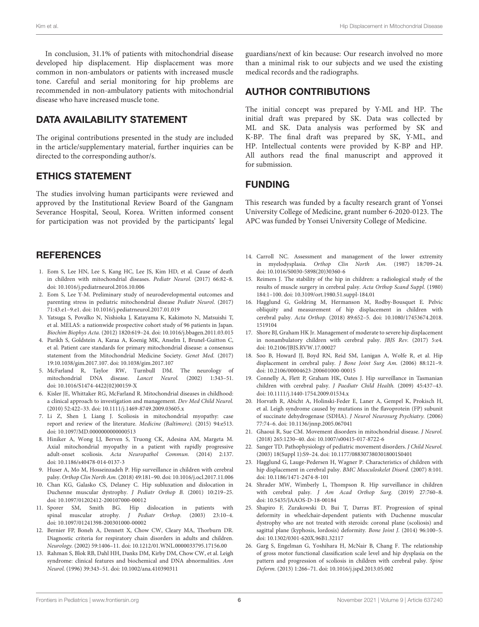In conclusion, 31.1% of patients with mitochondrial disease developed hip displacement. Hip displacement was more common in non-ambulators or patients with increased muscle tone. Careful and serial monitoring for hip problems are recommended in non-ambulatory patients with mitochondrial disease who have increased muscle tone.

## DATA AVAILABILITY STATEMENT

The original contributions presented in the study are included in the article/supplementary material, further inquiries can be directed to the corresponding author/s.

## ETHICS STATEMENT

The studies involving human participants were reviewed and approved by the Institutional Review Board of the Gangnam Severance Hospital, Seoul, Korea. Written informed consent for participation was not provided by the participants' legal

## **REFERENCES**

- <span id="page-5-0"></span>1. Eom S, Lee HN, Lee S, Kang HC, Lee JS, Kim HD, et al. Cause of death in children with mitochondrial diseases. Pediatr Neurol. (2017) 66:82–8. doi: [10.1016/j.pediatrneurol.2016.10.006](https://doi.org/10.1016/j.pediatrneurol.2016.10.006)
- <span id="page-5-1"></span>2. Eom S, Lee Y-M. Preliminary study of neurodevelopmental outcomes and parenting stress in pediatric mitochondrial disease Pediatr Neurol. (2017) 71:43.e1–9.e1. doi: [10.1016/j.pediatrneurol.2017.01.019](https://doi.org/10.1016/j.pediatrneurol.2017.01.019)
- <span id="page-5-2"></span>3. Yatsuga S, Povalko N, Nishioka J, Katayama K, Kakimoto N, Matsuishi T, et al. MELAS: a nationwide prospective cohort study of 96 patients in Japan. Biochim Biophys Acta. (2012) 1820:619–24. doi: [10.1016/j.bbagen.2011.03.015](https://doi.org/10.1016/j.bbagen.2011.03.015)
- <span id="page-5-3"></span>4. Parikh S, Goldstein A, Karaa A, Koenig MK, Anselm I, Brunel-Guitton C, et al. Patient care standards for primary mitochondrial disease: a consensus statement from the Mitochondrial Medicine Society. Genet Med. (2017) 19:10.1038/gim.2017.107. doi: [10.1038/gim.2017.107](https://doi.org/10.1038/gim.2017.107)
- <span id="page-5-4"></span>5. McFarland R, Taylor RW, Turnbull DM. The neurology of mitochondrial DNA disease. Lancet Neurol. (2002) 1:343–51. doi: [10.1016/S1474-4422\(02\)00159-X](https://doi.org/10.1016/S1474-4422(02)00159-X)
- <span id="page-5-5"></span>6. Kisler JE, Whittaker RG, McFarland R. Mitochondrial diseases in childhood: a clinical approach to investigation and management. Dev Med Child Neurol. (2010) 52:422–33. doi: [10.1111/j.1469-8749.2009.03605.x](https://doi.org/10.1111/j.1469-8749.2009.03605.x)
- <span id="page-5-6"></span>7. Li Z, Shen J, Liang J. Scoliosis in mitochondrial myopathy: case report and review of the literature. Medicine (Baltimore). (2015) 94:e513. doi: [10.1097/MD.0000000000000513](https://doi.org/10.1097/MD.0000000000000513)
- <span id="page-5-7"></span>8. Hiniker A, Wong LJ, Berven S, Truong CK, Adesina AM, Margeta M. Axial mitochondrial myopathy in a patient with rapidly progressive adult-onset scoliosis. Acta Neuropathol Commun. (2014) 2:137. doi: [10.1186/s40478-014-0137-3](https://doi.org/10.1186/s40478-014-0137-3)
- <span id="page-5-8"></span>9. Huser A, Mo M, Hosseinzadeh P. Hip surveillance in children with cerebral palsy. Orthop Clin North Am. (2018) 49:181–90. doi: [10.1016/j.ocl.2017.11.006](https://doi.org/10.1016/j.ocl.2017.11.006)
- 10. Chan KG, Galasko CS, Delaney C. Hip subluxation and dislocation in Duchenne muscular dystrophy. J Pediatr Orthop B. (2001) 10:219–25. doi: [10.1097/01202412-200107000-00012](https://doi.org/10.1097/01202412-200107000-00012)
- <span id="page-5-9"></span>11. Sporer SM, Smith BG. Hip dislocation in patients with spinal muscular atrophy. J Pediatr Orthop. (2003) 23:10–4. doi: [10.1097/01241398-200301000-00002](https://doi.org/10.1097/01241398-200301000-00002)
- <span id="page-5-10"></span>12. Bernier FP, Boneh A, Dennett X, Chow CW, Cleary MA, Thorburn DR. Diagnostic criteria for respiratory chain disorders in adults and children. Neurology. (2002) 59:1406–11. doi: [10.1212/01.WNL.0000033795.17156.00](https://doi.org/10.1212/01.WNL.0000033795.17156.00)
- <span id="page-5-11"></span>13. Rahman S, Blok RB, Dahl HH, Danks DM, Kirby DM, Chow CW, et al. Leigh syndrome: clinical features and biochemical and DNA abnormalities. Ann Neurol. (1996) 39:343–51. doi: [10.1002/ana.410390311](https://doi.org/10.1002/ana.410390311)

guardians/next of kin because: Our research involved no more than a minimal risk to our subjects and we used the existing medical records and the radiographs.

## AUTHOR CONTRIBUTIONS

The initial concept was prepared by Y-ML and HP. The initial draft was prepared by SK. Data was collected by ML and SK. Data analysis was performed by SK and K-BP. The final draft was prepared by SK, Y-ML, and HP. Intellectual contents were provided by K-BP and HP. All authors read the final manuscript and approved it for submission.

# FUNDING

This research was funded by a faculty research grant of Yonsei University College of Medicine, grant number 6-2020-0123. The APC was funded by Yonsei University College of Medicine.

- <span id="page-5-12"></span>14. Carroll NC. Assessment and management of the lower extremity in myelodysplasia. Orthop Clin North Am. (1987) 18:709–24. doi: [10.1016/S0030-5898\(20\)30360-6](https://doi.org/10.1016/S0030-5898(20)30360-6)
- <span id="page-5-13"></span>15. Reimers J. The stability of the hip in children: a radiological study of the results of muscle surgery in cerebral palsy. Acta Orthop Scand Suppl. (1980) 184:1–100. doi: [10.3109/ort.1980.51.suppl-184.01](https://doi.org/10.3109/ort.1980.51.suppl-184.01)
- <span id="page-5-14"></span>16. Hagglund G, Goldring M, Hermanson M, Rodby-Bousquet E. Pelvic obliquity and measurement of hip displacement in children with cerebral palsy. Acta Orthop. [\(2018\) 89:652–5. doi: 10.1080/17453674.2018.](https://doi.org/10.1080/17453674.2018.1519104) 1519104
- <span id="page-5-15"></span>17. Shore BJ, Graham HK Jr. Management of moderate to severe hip displacement in nonambulatory children with cerebral palsy. JBJS Rev. (2017) 5:e4. doi: [10.2106/JBJS.RVW.17.00027](https://doi.org/10.2106/JBJS.RVW.17.00027)
- <span id="page-5-16"></span>18. Soo B, Howard JJ, Boyd RN, Reid SM, Lanigan A, Wolfe R, et al. Hip displacement in cerebral palsy. J Bone Joint Surg Am. (2006) 88:121–9. doi: [10.2106/00004623-200601000-00015](https://doi.org/10.2106/00004623-200601000-00015)
- <span id="page-5-17"></span>19. Connelly A, Flett P, Graham HK, Oates J. Hip surveillance in Tasmanian children with cerebral palsy. J Paediatr Child Health. (2009) 45:437–43. doi: [10.1111/j.1440-1754.2009.01534.x](https://doi.org/10.1111/j.1440-1754.2009.01534.x)
- <span id="page-5-18"></span>20. Horvath R, Abicht A, Holinski-Feder E, Laner A, Gempel K, Prokisch H, et al. Leigh syndrome caused by mutations in the flavoprotein (FP) subunit of succinate dehydrogenase (SDHA). J Neurol Neurosurg Psychiatry. (2006) 77:74–6. doi: [10.1136/jnnp.2005.067041](https://doi.org/10.1136/jnnp.2005.067041)
- <span id="page-5-19"></span>21. Ghaoui R, Sue CM. Movement disorders in mitochondrial disease. J Neurol. (2018) 265:1230–40. doi: [10.1007/s00415-017-8722-6](https://doi.org/10.1007/s00415-017-8722-6)
- <span id="page-5-20"></span>22. Sanger TD. Pathophysiology of pediatric movement disorders. J Child Neurol. (2003) 18(Suppl 1):S9–24. doi: [10.1177/0883073803018001S0401](https://doi.org/10.1177/0883073803018001S0401)
- <span id="page-5-21"></span>23. Hagglund G, Lauge-Pedersen H, Wagner P. Characteristics of children with hip displacement in cerebral palsy. BMC Musculoskelet Disord. (2007) 8:101. doi: [10.1186/1471-2474-8-101](https://doi.org/10.1186/1471-2474-8-101)
- <span id="page-5-22"></span>24. Shrader MW, Wimberly L, Thompson R. Hip surveillance in children with cerebral palsy. J Am Acad Orthop Surg. (2019) 27:760–8. doi: [10.5435/JAAOS-D-18-00184](https://doi.org/10.5435/JAAOS-D-18-00184)
- <span id="page-5-23"></span>25. Shapiro F, Zurakowski D, Bui T, Darras BT. Progression of spinal deformity in wheelchair-dependent patients with Duchenne muscular dystrophy who are not treated with steroids: coronal plane (scoliosis) and sagittal plane (kyphosis, lordosis) deformity. Bone Joint J. (2014) 96:100–5. doi: [10.1302/0301-620X.96B1.32117](https://doi.org/10.1302/0301-620X.96B1.32117)
- 26. Garg S, Engelman G, Yoshihara H, McNair B, Chang F. The relationship of gross motor functional classification scale level and hip dysplasia on the pattern and progression of scoliosis in children with cerebral palsy. Spine Deform. (2013) 1:266–71. doi: [10.1016/j.jspd.2013.05.002](https://doi.org/10.1016/j.jspd.2013.05.002)